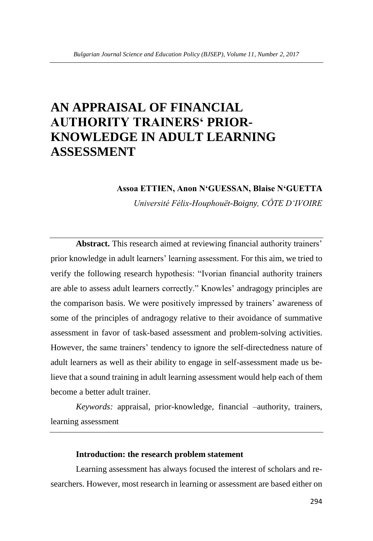# **AN APPRAISAL OF FINANCIAL AUTHORITY TRAINERS' PRIOR-KNOWLEDGE IN ADULT LEARNING ASSESSMENT**

#### **Assoa ETTIEN, Anon N'GUESSAN, Blaise N'GUETTA**

*Université Félix-Houphouët-Boigny, CÔTE D'IVOIRE*

**Abstract.** This research aimed at reviewing financial authority trainers' prior knowledge in adult learners' learning assessment. For this aim, we tried to verify the following research hypothesis: "Ivorian financial authority trainers are able to assess adult learners correctly." Knowles' andragogy principles are the comparison basis. We were positively impressed by trainers' awareness of some of the principles of andragogy relative to their avoidance of summative assessment in favor of task-based assessment and problem-solving activities. However, the same trainers' tendency to ignore the self-directedness nature of adult learners as well as their ability to engage in self-assessment made us believe that a sound training in adult learning assessment would help each of them become a better adult trainer.

*Keywords:* appraisal, prior-knowledge, financial –authority, trainers, learning assessment

#### **Introduction: the research problem statement**

Learning assessment has always focused the interest of scholars and researchers. However, most research in learning or assessment are based either on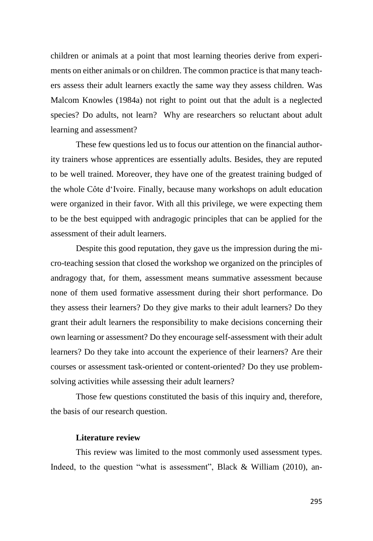children or animals at a point that most learning theories derive from experiments on either animals or on children. The common practice is that many teachers assess their adult learners exactly the same way they assess children. Was Malcom Knowles (1984a) not right to point out that the adult is a neglected species? Do adults, not learn? Why are researchers so reluctant about adult learning and assessment?

These few questions led us to focus our attention on the financial authority trainers whose apprentices are essentially adults. Besides, they are reputed to be well trained. Moreover, they have one of the greatest training budged of the whole Côte d'Ivoire. Finally, because many workshops on adult education were organized in their favor. With all this privilege, we were expecting them to be the best equipped with andragogic principles that can be applied for the assessment of their adult learners.

Despite this good reputation, they gave us the impression during the micro-teaching session that closed the workshop we organized on the principles of andragogy that, for them, assessment means summative assessment because none of them used formative assessment during their short performance. Do they assess their learners? Do they give marks to their adult learners? Do they grant their adult learners the responsibility to make decisions concerning their own learning or assessment? Do they encourage self-assessment with their adult learners? Do they take into account the experience of their learners? Are their courses or assessment task-oriented or content-oriented? Do they use problemsolving activities while assessing their adult learners?

Those few questions constituted the basis of this inquiry and, therefore, the basis of our research question.

# **Literature review**

This review was limited to the most commonly used assessment types. Indeed, to the question "what is assessment", Black & William (2010), an-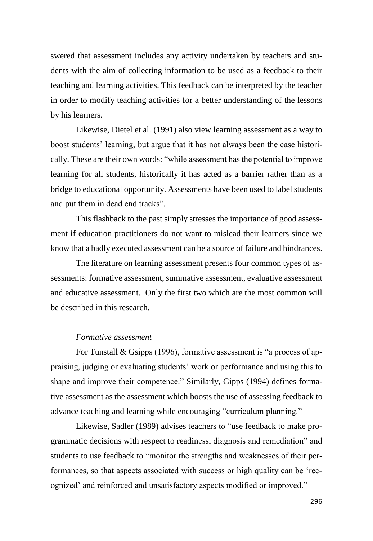swered that assessment includes any activity undertaken by teachers and students with the aim of collecting information to be used as a feedback to their teaching and learning activities. This feedback can be interpreted by the teacher in order to modify teaching activities for a better understanding of the lessons by his learners.

Likewise, Dietel et al. (1991) also view learning assessment as a way to boost students' learning, but argue that it has not always been the case historically. These are their own words: "while assessment has the potential to improve learning for all students, historically it has acted as a barrier rather than as a bridge to educational opportunity. Assessments have been used to label students and put them in dead end tracks".

This flashback to the past simply stresses the importance of good assessment if education practitioners do not want to mislead their learners since we know that a badly executed assessment can be a source of failure and hindrances.

The literature on learning assessment presents four common types of assessments: formative assessment, summative assessment, evaluative assessment and educative assessment. Only the first two which are the most common will be described in this research.

# *Formative assessment*

For Tunstall & Gsipps (1996), formative assessment is "a process of appraising, judging or evaluating students' work or performance and using this to shape and improve their competence." Similarly, Gipps (1994) defines formative assessment as the assessment which boosts the use of assessing feedback to advance teaching and learning while encouraging "curriculum planning."

Likewise, Sadler (1989) advises teachers to "use feedback to make programmatic decisions with respect to readiness, diagnosis and remediation" and students to use feedback to "monitor the strengths and weaknesses of their performances, so that aspects associated with success or high quality can be 'recognized' and reinforced and unsatisfactory aspects modified or improved."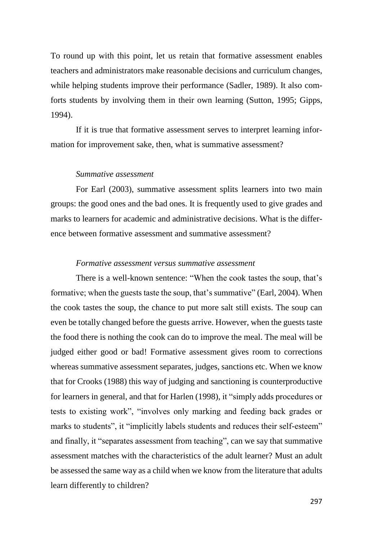To round up with this point, let us retain that formative assessment enables teachers and administrators make reasonable decisions and curriculum changes, while helping students improve their performance (Sadler, 1989). It also comforts students by involving them in their own learning (Sutton, 1995; Gipps, 1994).

If it is true that formative assessment serves to interpret learning information for improvement sake, then, what is summative assessment?

#### *Summative assessment*

For Earl (2003), summative assessment splits learners into two main groups: the good ones and the bad ones. It is frequently used to give grades and marks to learners for academic and administrative decisions. What is the difference between formative assessment and summative assessment?

# *Formative assessment versus summative assessment*

There is a well-known sentence: "When the cook tastes the soup, that's formative; when the guests taste the soup, that's summative" (Earl, 2004). When the cook tastes the soup, the chance to put more salt still exists. The soup can even be totally changed before the guests arrive. However, when the guests taste the food there is nothing the cook can do to improve the meal. The meal will be judged either good or bad! Formative assessment gives room to corrections whereas summative assessment separates, judges, sanctions etc. When we know that for Crooks (1988) this way of judging and sanctioning is counterproductive for learners in general, and that for Harlen (1998), it "simply adds procedures or tests to existing work", "involves only marking and feeding back grades or marks to students", it "implicitly labels students and reduces their self-esteem" and finally, it "separates assessment from teaching", can we say that summative assessment matches with the characteristics of the adult learner? Must an adult be assessed the same way as a child when we know from the literature that adults learn differently to children?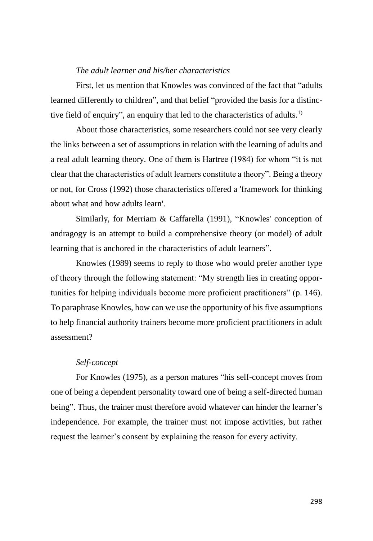#### *The adult learner and his/her characteristics*

First, let us mention that Knowles was convinced of the fact that "adults learned differently to children", and that belief "provided the basis for a distinctive field of enquiry", an enquiry that led to the characteristics of adults.<sup>1)</sup>

About those characteristics, some researchers could not see very clearly the links between a set of assumptions in relation with the learning of adults and a real adult learning theory. One of them is Hartree (1984) for whom "it is not clear that the characteristics of adult learners constitute a theory". Being a theory or not, for Cross (1992) those characteristics offered a 'framework for thinking about what and how adults learn'.

Similarly, for Merriam & Caffarella (1991), "Knowles' conception of andragogy is an attempt to build a comprehensive theory (or model) of adult learning that is anchored in the characteristics of adult learners".

Knowles (1989) seems to reply to those who would prefer another type of theory through the following statement: "My strength lies in creating opportunities for helping individuals become more proficient practitioners" (p. 146). To paraphrase Knowles, how can we use the opportunity of his five assumptions to help financial authority trainers become more proficient practitioners in adult assessment?

#### *Self-concept*

For Knowles (1975), as a person matures "his self-concept moves from one of being a dependent personality toward one of being a self-directed human being". Thus, the trainer must therefore avoid whatever can hinder the learner's independence. For example, the trainer must not impose activities, but rather request the learner's consent by explaining the reason for every activity.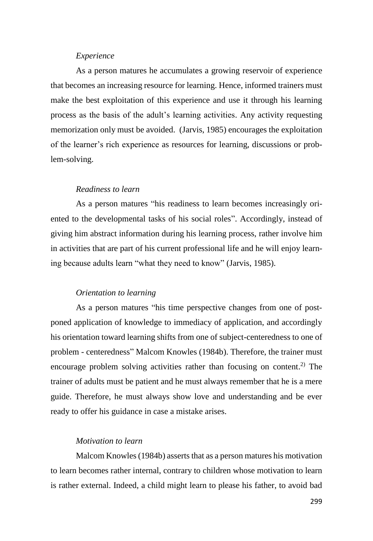#### *Experience*

As a person matures he accumulates a growing reservoir of experience that becomes an increasing resource for learning. Hence, informed trainers must make the best exploitation of this experience and use it through his learning process as the basis of the adult's learning activities. Any activity requesting memorization only must be avoided. (Jarvis, 1985) encourages the exploitation of the learner's rich experience as resources for learning, discussions or problem-solving.

# *Readiness to learn*

As a person matures "his readiness to learn becomes increasingly oriented to the developmental tasks of his social roles". Accordingly, instead of giving him abstract information during his learning process, rather involve him in activities that are part of his current professional life and he will enjoy learning because adults learn "what they need to know" (Jarvis, 1985).

#### *Orientation to learning*

As a person matures "his time perspective changes from one of postponed application of knowledge to immediacy of application, and accordingly his orientation toward learning shifts from one of subject-centeredness to one of problem - centeredness" Malcom Knowles (1984b). Therefore, the trainer must encourage problem solving activities rather than focusing on content.<sup>2)</sup> The trainer of adults must be patient and he must always remember that he is a mere guide. Therefore, he must always show love and understanding and be ever ready to offer his guidance in case a mistake arises.

# *Motivation to learn*

Malcom Knowles (1984b) asserts that as a person matures his motivation to learn becomes rather internal, contrary to children whose motivation to learn is rather external. Indeed, a child might learn to please his father, to avoid bad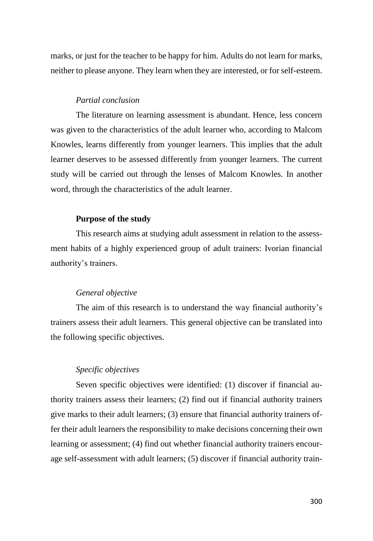marks, or just for the teacher to be happy for him. Adults do not learn for marks, neither to please anyone. They learn when they are interested, or for self-esteem.

### *Partial conclusion*

The literature on learning assessment is abundant. Hence, less concern was given to the characteristics of the adult learner who, according to Malcom Knowles, learns differently from younger learners. This implies that the adult learner deserves to be assessed differently from younger learners. The current study will be carried out through the lenses of Malcom Knowles. In another word, through the characteristics of the adult learner.

### **Purpose of the study**

This research aims at studying adult assessment in relation to the assessment habits of a highly experienced group of adult trainers: Ivorian financial authority's trainers.

#### *General objective*

The aim of this research is to understand the way financial authority's trainers assess their adult learners. This general objective can be translated into the following specific objectives.

# *Specific objectives*

Seven specific objectives were identified: (1) discover if financial authority trainers assess their learners; (2) find out if financial authority trainers give marks to their adult learners; (3) ensure that financial authority trainers offer their adult learners the responsibility to make decisions concerning their own learning or assessment; (4) find out whether financial authority trainers encourage self-assessment with adult learners; (5) discover if financial authority train-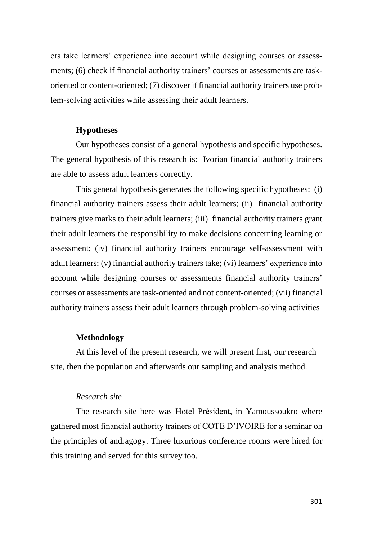ers take learners' experience into account while designing courses or assessments; (6) check if financial authority trainers' courses or assessments are taskoriented or content-oriented; (7) discover if financial authority trainers use problem-solving activities while assessing their adult learners.

#### **Hypotheses**

Our hypotheses consist of a general hypothesis and specific hypotheses. The general hypothesis of this research is: Ivorian financial authority trainers are able to assess adult learners correctly.

This general hypothesis generates the following specific hypotheses: (i) financial authority trainers assess their adult learners; (ii) financial authority trainers give marks to their adult learners; (iii) financial authority trainers grant their adult learners the responsibility to make decisions concerning learning or assessment; (iv) financial authority trainers encourage self-assessment with adult learners; (v) financial authority trainers take; (vi) learners' experience into account while designing courses or assessments financial authority trainers' courses or assessments are task-oriented and not content-oriented; (vii) financial authority trainers assess their adult learners through problem-solving activities

# **Methodology**

At this level of the present research, we will present first, our research site, then the population and afterwards our sampling and analysis method.

#### *Research site*

The research site here was Hotel Président, in Yamoussoukro where gathered most financial authority trainers of COTE D'IVOIRE for a seminar on the principles of andragogy. Three luxurious conference rooms were hired for this training and served for this survey too.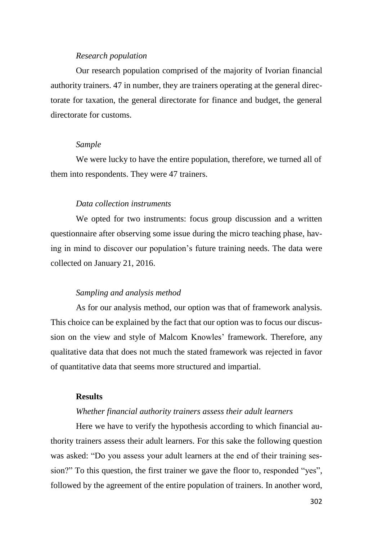#### *Research population*

Our research population comprised of the majority of Ivorian financial authority trainers. 47 in number, they are trainers operating at the general directorate for taxation, the general directorate for finance and budget, the general directorate for customs.

### *Sample*

We were lucky to have the entire population, therefore, we turned all of them into respondents. They were 47 trainers.

### *Data collection instruments*

We opted for two instruments: focus group discussion and a written questionnaire after observing some issue during the micro teaching phase, having in mind to discover our population's future training needs. The data were collected on January 21, 2016.

#### *Sampling and analysis method*

As for our analysis method, our option was that of framework analysis. This choice can be explained by the fact that our option was to focus our discussion on the view and style of Malcom Knowles' framework. Therefore, any qualitative data that does not much the stated framework was rejected in favor of quantitative data that seems more structured and impartial.

#### **Results**

#### *Whether financial authority trainers assess their adult learners*

Here we have to verify the hypothesis according to which financial authority trainers assess their adult learners. For this sake the following question was asked: "Do you assess your adult learners at the end of their training session?" To this question, the first trainer we gave the floor to, responded "yes", followed by the agreement of the entire population of trainers. In another word,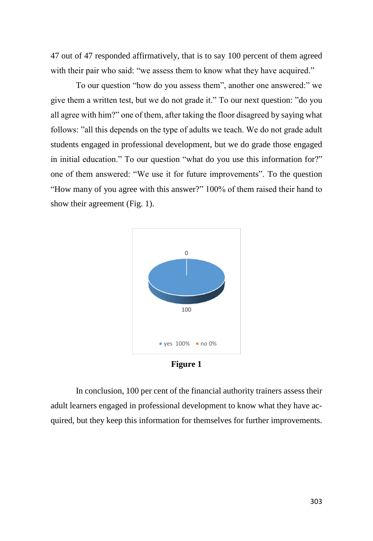47 out of 47 responded affirmatively, that is to say 100 percent of them agreed with their pair who said: "we assess them to know what they have acquired."

To our question "how do you assess them", another one answered:" we give them a written test, but we do not grade it." To our next question: "do you all agree with him?" one of them, after taking the floor disagreed by saying what follows: "all this depends on the type of adults we teach. We do not grade adult students engaged in professional development, but we do grade those engaged in initial education." To our question "what do you use this information for?" one of them answered: "We use it for future improvements". To the question "How many of you agree with this answer?" 100% of them raised their hand to show their agreement (Fig. 1).



**Figure 1**

In conclusion, 100 per cent of the financial authority trainers assess their adult learners engaged in professional development to know what they have acquired, but they keep this information for themselves for further improvements.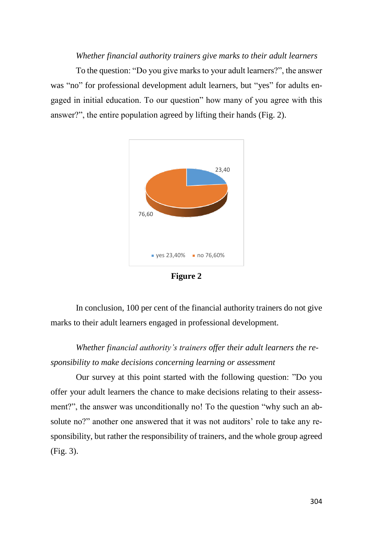#### *Whether financial authority trainers give marks to their adult learners*

To the question: "Do you give marks to your adult learners?", the answer was "no" for professional development adult learners, but "yes" for adults engaged in initial education. To our question" how many of you agree with this answer?", the entire population agreed by lifting their hands (Fig. 2).



**Figure 2**

In conclusion, 100 per cent of the financial authority trainers do not give marks to their adult learners engaged in professional development.

*Whether financial authority's trainers offer their adult learners the responsibility to make decisions concerning learning or assessment*

Our survey at this point started with the following question: "Do you offer your adult learners the chance to make decisions relating to their assessment?", the answer was unconditionally no! To the question "why such an absolute no?" another one answered that it was not auditors' role to take any responsibility, but rather the responsibility of trainers, and the whole group agreed (Fig. 3).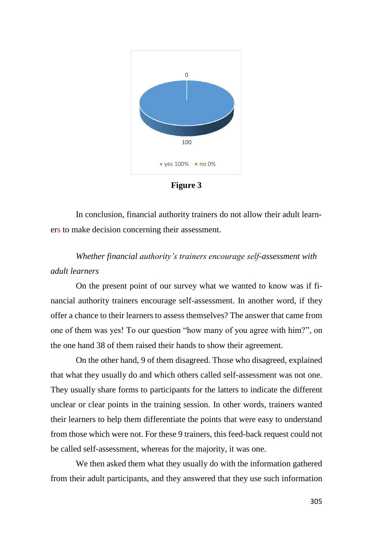

**Figure 3**

In conclusion, financial authority trainers do not allow their adult learners to make decision concerning their assessment.

# *Whether financial authority's trainers encourage self-assessment with adult learners*

On the present point of our survey what we wanted to know was if financial authority trainers encourage self-assessment. In another word, if they offer a chance to their learners to assess themselves? The answer that came from one of them was yes! To our question "how many of you agree with him?", on the one hand 38 of them raised their hands to show their agreement.

On the other hand, 9 of them disagreed. Those who disagreed, explained that what they usually do and which others called self-assessment was not one. They usually share forms to participants for the latters to indicate the different unclear or clear points in the training session. In other words, trainers wanted their learners to help them differentiate the points that were easy to understand from those which were not. For these 9 trainers, this feed-back request could not be called self-assessment, whereas for the majority, it was one.

We then asked them what they usually do with the information gathered from their adult participants, and they answered that they use such information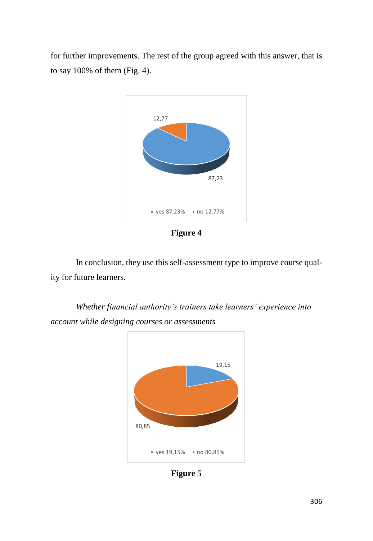for further improvements. The rest of the group agreed with this answer, that is to say 100% of them (Fig. 4).



**Figure 4**

In conclusion, they use this self-assessment type to improve course quality for future learners.

*Whether financial authority's trainers take learners' experience into account while designing courses or assessments*



**Figure 5**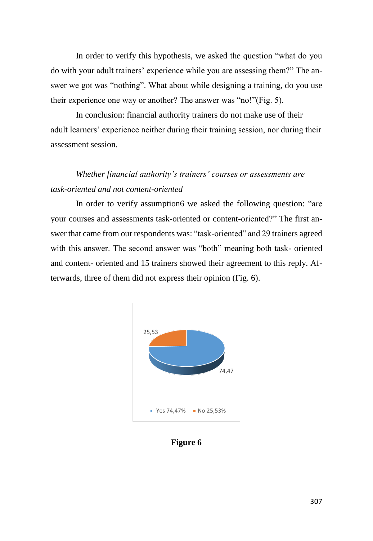In order to verify this hypothesis, we asked the question "what do you do with your adult trainers' experience while you are assessing them?" The answer we got was "nothing". What about while designing a training, do you use their experience one way or another? The answer was "no!"(Fig. 5).

In conclusion: financial authority trainers do not make use of their adult learners' experience neither during their training session, nor during their assessment session.

# *Whether financial authority's trainers' courses or assessments are task-oriented and not content-oriented*

In order to verify assumption6 we asked the following question: "are your courses and assessments task-oriented or content-oriented?" The first answer that came from our respondents was: "task-oriented" and 29 trainers agreed with this answer. The second answer was "both" meaning both task- oriented and content- oriented and 15 trainers showed their agreement to this reply. Afterwards, three of them did not express their opinion (Fig. 6).



**Figure 6**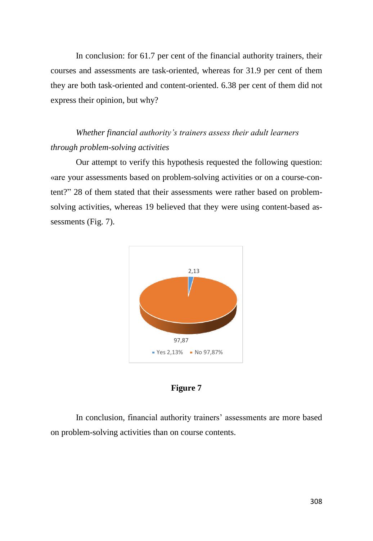In conclusion: for 61.7 per cent of the financial authority trainers, their courses and assessments are task-oriented, whereas for 31.9 per cent of them they are both task-oriented and content-oriented. 6.38 per cent of them did not express their opinion, but why?

# *Whether financial authority's trainers assess their adult learners through problem-solving activities*

Our attempt to verify this hypothesis requested the following question: «are your assessments based on problem-solving activities or on a course-content?" 28 of them stated that their assessments were rather based on problemsolving activities, whereas 19 believed that they were using content-based assessments (Fig. 7).



### **Figure 7**

In conclusion, financial authority trainers' assessments are more based on problem-solving activities than on course contents.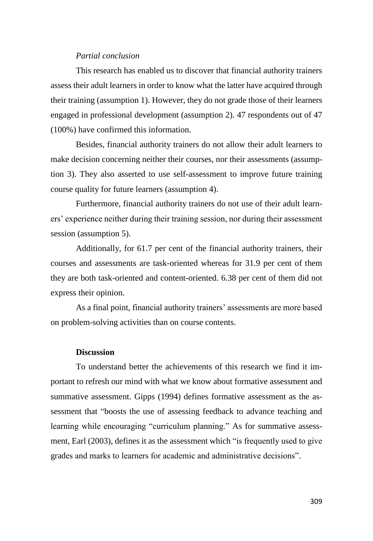# *Partial conclusion*

This research has enabled us to discover that financial authority trainers assess their adult learners in order to know what the latter have acquired through their training (assumption 1). However, they do not grade those of their learners engaged in professional development (assumption 2). 47 respondents out of 47 (100%) have confirmed this information.

Besides, financial authority trainers do not allow their adult learners to make decision concerning neither their courses, nor their assessments (assumption 3). They also asserted to use self-assessment to improve future training course quality for future learners (assumption 4).

Furthermore, financial authority trainers do not use of their adult learners' experience neither during their training session, nor during their assessment session (assumption 5).

Additionally, for 61.7 per cent of the financial authority trainers, their courses and assessments are task-oriented whereas for 31.9 per cent of them they are both task-oriented and content-oriented. 6.38 per cent of them did not express their opinion.

As a final point, financial authority trainers' assessments are more based on problem-solving activities than on course contents.

#### **Discussion**

To understand better the achievements of this research we find it important to refresh our mind with what we know about formative assessment and summative assessment. Gipps (1994) defines formative assessment as the assessment that "boosts the use of assessing feedback to advance teaching and learning while encouraging "curriculum planning." As for summative assessment, Earl (2003), defines it as the assessment which "is frequently used to give grades and marks to learners for academic and administrative decisions".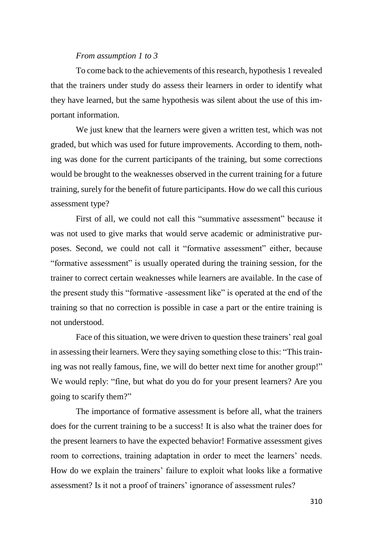#### *From assumption 1 to 3*

To come back to the achievements of this research, hypothesis 1 revealed that the trainers under study do assess their learners in order to identify what they have learned, but the same hypothesis was silent about the use of this important information.

We just knew that the learners were given a written test, which was not graded, but which was used for future improvements. According to them, nothing was done for the current participants of the training, but some corrections would be brought to the weaknesses observed in the current training for a future training, surely for the benefit of future participants. How do we call this curious assessment type?

First of all, we could not call this "summative assessment" because it was not used to give marks that would serve academic or administrative purposes. Second, we could not call it "formative assessment" either, because "formative assessment" is usually operated during the training session, for the trainer to correct certain weaknesses while learners are available. In the case of the present study this "formative -assessment like" is operated at the end of the training so that no correction is possible in case a part or the entire training is not understood.

Face of this situation, we were driven to question these trainers' real goal in assessing their learners. Were they saying something close to this: "This training was not really famous, fine, we will do better next time for another group!" We would reply: "fine, but what do you do for your present learners? Are you going to scarify them?"

The importance of formative assessment is before all, what the trainers does for the current training to be a success! It is also what the trainer does for the present learners to have the expected behavior! Formative assessment gives room to corrections, training adaptation in order to meet the learners' needs. How do we explain the trainers' failure to exploit what looks like a formative assessment? Is it not a proof of trainers' ignorance of assessment rules?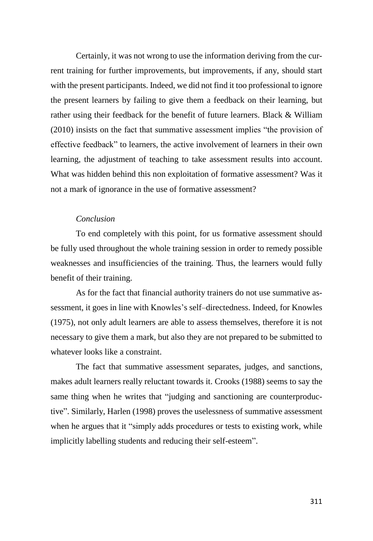Certainly, it was not wrong to use the information deriving from the current training for further improvements, but improvements, if any, should start with the present participants. Indeed, we did not find it too professional to ignore the present learners by failing to give them a feedback on their learning, but rather using their feedback for the benefit of future learners. Black & William (2010) insists on the fact that summative assessment implies "the provision of effective feedback" to learners, the active involvement of learners in their own learning, the adjustment of teaching to take assessment results into account. What was hidden behind this non exploitation of formative assessment? Was it not a mark of ignorance in the use of formative assessment?

### *Conclusion*

To end completely with this point, for us formative assessment should be fully used throughout the whole training session in order to remedy possible weaknesses and insufficiencies of the training. Thus, the learners would fully benefit of their training.

As for the fact that financial authority trainers do not use summative assessment, it goes in line with Knowles's self–directedness. Indeed, for Knowles (1975), not only adult learners are able to assess themselves, therefore it is not necessary to give them a mark, but also they are not prepared to be submitted to whatever looks like a constraint.

The fact that summative assessment separates, judges, and sanctions, makes adult learners really reluctant towards it. Crooks (1988) seems to say the same thing when he writes that "judging and sanctioning are counterproductive". Similarly, Harlen (1998) proves the uselessness of summative assessment when he argues that it "simply adds procedures or tests to existing work, while implicitly labelling students and reducing their self-esteem".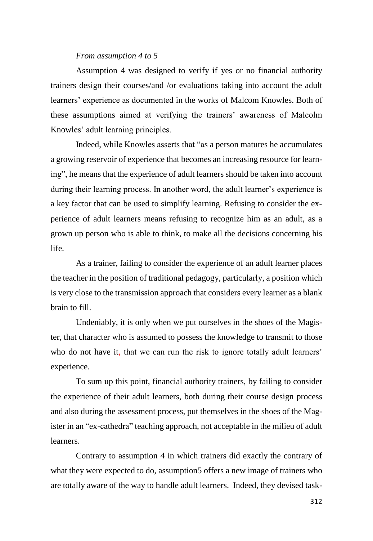# *From assumption 4 to 5*

Assumption 4 was designed to verify if yes or no financial authority trainers design their courses/and /or evaluations taking into account the adult learners' experience as documented in the works of Malcom Knowles. Both of these assumptions aimed at verifying the trainers' awareness of Malcolm Knowles' adult learning principles.

Indeed, while Knowles asserts that "as a person matures he accumulates a growing reservoir of experience that becomes an increasing resource for learning", he means that the experience of adult learners should be taken into account during their learning process. In another word, the adult learner's experience is a key factor that can be used to simplify learning. Refusing to consider the experience of adult learners means refusing to recognize him as an adult, as a grown up person who is able to think, to make all the decisions concerning his life.

As a trainer, failing to consider the experience of an adult learner places the teacher in the position of traditional pedagogy, particularly, a position which is very close to the transmission approach that considers every learner as a blank brain to fill.

Undeniably, it is only when we put ourselves in the shoes of the Magister, that character who is assumed to possess the knowledge to transmit to those who do not have it, that we can run the risk to ignore totally adult learners' experience.

To sum up this point, financial authority trainers, by failing to consider the experience of their adult learners, both during their course design process and also during the assessment process, put themselves in the shoes of the Magister in an "ex-cathedra" teaching approach, not acceptable in the milieu of adult learners.

Contrary to assumption 4 in which trainers did exactly the contrary of what they were expected to do, assumption5 offers a new image of trainers who are totally aware of the way to handle adult learners. Indeed, they devised task-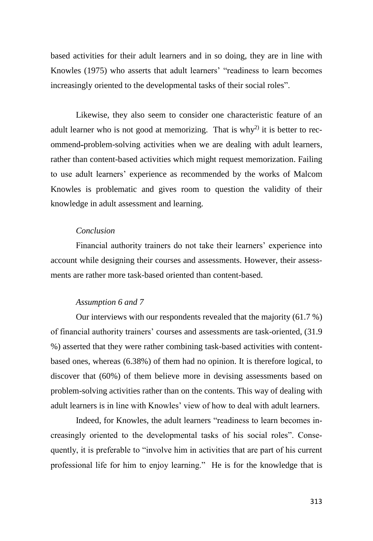based activities for their adult learners and in so doing, they are in line with Knowles (1975) who asserts that adult learners' "readiness to learn becomes increasingly oriented to the developmental tasks of their social roles".

Likewise, they also seem to consider one characteristic feature of an adult learner who is not good at memorizing. That is why<sup>2)</sup> it is better to recommend problem-solving activities when we are dealing with adult learners, rather than content-based activities which might request memorization. Failing to use adult learners' experience as recommended by the works of Malcom Knowles is problematic and gives room to question the validity of their knowledge in adult assessment and learning.

### *Conclusion*

Financial authority trainers do not take their learners' experience into account while designing their courses and assessments. However, their assessments are rather more task-based oriented than content-based.

# *Assumption 6 and 7*

Our interviews with our respondents revealed that the majority (61.7 %) of financial authority trainers' courses and assessments are task-oriented, (31.9 %) asserted that they were rather combining task-based activities with contentbased ones, whereas (6.38%) of them had no opinion. It is therefore logical, to discover that (60%) of them believe more in devising assessments based on problem-solving activities rather than on the contents. This way of dealing with adult learners is in line with Knowles' view of how to deal with adult learners.

Indeed, for Knowles, the adult learners "readiness to learn becomes increasingly oriented to the developmental tasks of his social roles". Consequently, it is preferable to "involve him in activities that are part of his current professional life for him to enjoy learning." He is for the knowledge that is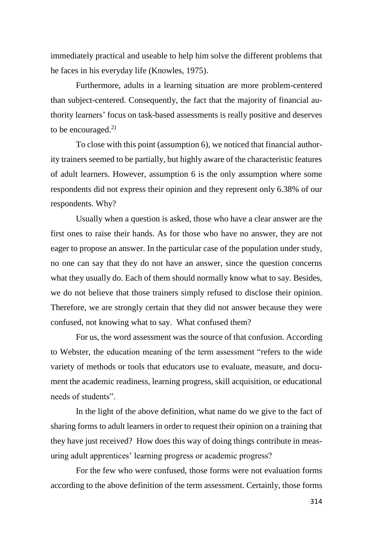immediately practical and useable to help him solve the different problems that he faces in his everyday life (Knowles, 1975).

Furthermore, adults in a learning situation are more problem-centered than subject-centered. Consequently, the fact that the majority of financial authority learners' focus on task-based assessments is really positive and deserves to be encouraged. $^{2)}$ 

To close with this point (assumption 6), we noticed that financial authority trainers seemed to be partially, but highly aware of the characteristic features of adult learners. However, assumption 6 is the only assumption where some respondents did not express their opinion and they represent only 6.38% of our respondents. Why?

Usually when a question is asked, those who have a clear answer are the first ones to raise their hands. As for those who have no answer, they are not eager to propose an answer. In the particular case of the population under study, no one can say that they do not have an answer, since the question concerns what they usually do. Each of them should normally know what to say. Besides, we do not believe that those trainers simply refused to disclose their opinion. Therefore, we are strongly certain that they did not answer because they were confused, not knowing what to say. What confused them?

For us, the word assessment was the source of that confusion. According to Webster, the education meaning of the term assessment "refers to the wide variety of methods or tools that educators use to evaluate, measure, and document the academic readiness, learning progress, skill acquisition, or educational needs of students".

In the light of the above definition, what name do we give to the fact of sharing forms to adult learners in order to request their opinion on a training that they have just received? How does this way of doing things contribute in measuring adult apprentices' learning progress or academic progress?

For the few who were confused, those forms were not evaluation forms according to the above definition of the term assessment. Certainly, those forms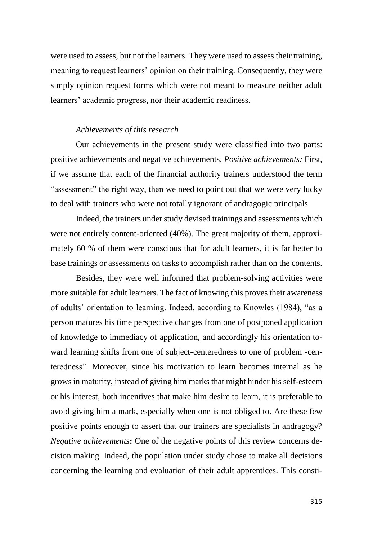were used to assess, but not the learners. They were used to assess their training, meaning to request learners' opinion on their training. Consequently, they were simply opinion request forms which were not meant to measure neither adult learners' academic progress, nor their academic readiness.

#### *Achievements of this research*

Our achievements in the present study were classified into two parts: positive achievements and negative achievements. *Positive achievements:* First, if we assume that each of the financial authority trainers understood the term "assessment" the right way, then we need to point out that we were very lucky to deal with trainers who were not totally ignorant of andragogic principals.

Indeed, the trainers under study devised trainings and assessments which were not entirely content-oriented (40%). The great majority of them, approximately 60 % of them were conscious that for adult learners, it is far better to base trainings or assessments on tasks to accomplish rather than on the contents.

Besides, they were well informed that problem-solving activities were more suitable for adult learners. The fact of knowing this proves their awareness of adults' orientation to learning. Indeed, according to Knowles (1984), "as a person matures his time perspective changes from one of postponed application of knowledge to immediacy of application, and accordingly his orientation toward learning shifts from one of subject-centeredness to one of problem -centeredness". Moreover, since his motivation to learn becomes internal as he grows in maturity, instead of giving him marks that might hinder his self-esteem or his interest, both incentives that make him desire to learn, it is preferable to avoid giving him a mark, especially when one is not obliged to. Are these few positive points enough to assert that our trainers are specialists in andragogy? *Negative achievements***:** One of the negative points of this review concerns decision making. Indeed, the population under study chose to make all decisions concerning the learning and evaluation of their adult apprentices. This consti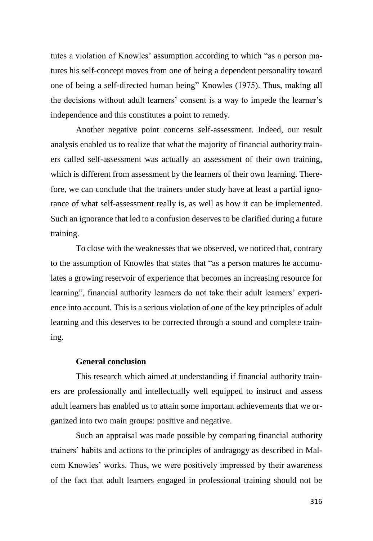tutes a violation of Knowles' assumption according to which "as a person matures his self-concept moves from one of being a dependent personality toward one of being a self-directed human being" Knowles (1975). Thus, making all the decisions without adult learners' consent is a way to impede the learner's independence and this constitutes a point to remedy.

Another negative point concerns self-assessment. Indeed, our result analysis enabled us to realize that what the majority of financial authority trainers called self-assessment was actually an assessment of their own training, which is different from assessment by the learners of their own learning. Therefore, we can conclude that the trainers under study have at least a partial ignorance of what self-assessment really is, as well as how it can be implemented. Such an ignorance that led to a confusion deserves to be clarified during a future training.

To close with the weaknesses that we observed, we noticed that, contrary to the assumption of Knowles that states that "as a person matures he accumulates a growing reservoir of experience that becomes an increasing resource for learning", financial authority learners do not take their adult learners' experience into account. This is a serious violation of one of the key principles of adult learning and this deserves to be corrected through a sound and complete training.

# **General conclusion**

This research which aimed at understanding if financial authority trainers are professionally and intellectually well equipped to instruct and assess adult learners has enabled us to attain some important achievements that we organized into two main groups: positive and negative.

Such an appraisal was made possible by comparing financial authority trainers' habits and actions to the principles of andragogy as described in Malcom Knowles' works. Thus, we were positively impressed by their awareness of the fact that adult learners engaged in professional training should not be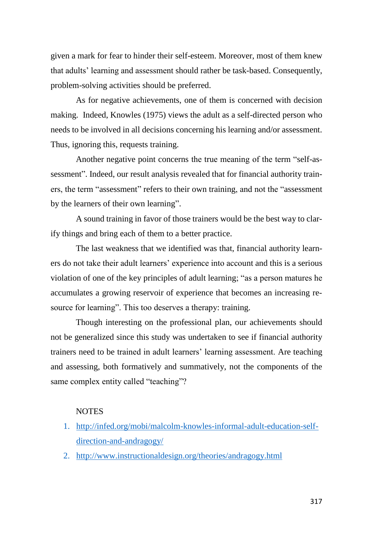given a mark for fear to hinder their self-esteem. Moreover, most of them knew that adults' learning and assessment should rather be task-based. Consequently, problem-solving activities should be preferred.

As for negative achievements, one of them is concerned with decision making. Indeed, Knowles (1975) views the adult as a self-directed person who needs to be involved in all decisions concerning his learning and/or assessment. Thus, ignoring this, requests training.

Another negative point concerns the true meaning of the term "self-assessment". Indeed, our result analysis revealed that for financial authority trainers, the term "assessment" refers to their own training, and not the "assessment by the learners of their own learning".

A sound training in favor of those trainers would be the best way to clarify things and bring each of them to a better practice.

The last weakness that we identified was that, financial authority learners do not take their adult learners' experience into account and this is a serious violation of one of the key principles of adult learning; "as a person matures he accumulates a growing reservoir of experience that becomes an increasing resource for learning". This too deserves a therapy: training.

Though interesting on the professional plan, our achievements should not be generalized since this study was undertaken to see if financial authority trainers need to be trained in adult learners' learning assessment. Are teaching and assessing, both formatively and summatively, not the components of the same complex entity called "teaching"?

# **NOTES**

- 1. [http://infed.org/mobi/malcolm-knowles-informal-adult-education-self](http://infed.org/mobi/malcolm-knowles-informal-adult-education-self-direction-and-andragogy/)[direction-and-andragogy/](http://infed.org/mobi/malcolm-knowles-informal-adult-education-self-direction-and-andragogy/)
- 2. <http://www.instructionaldesign.org/theories/andragogy.html>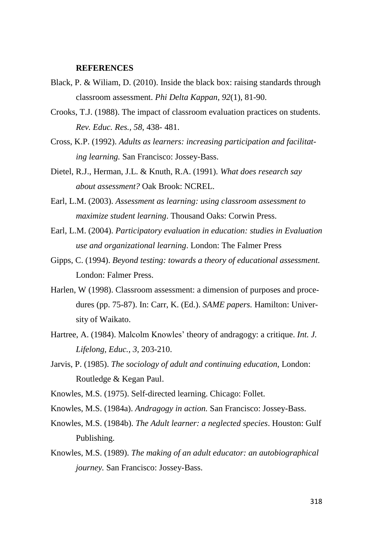#### **REFERENCES**

- Black, P. & Wiliam, D. (2010). Inside the black box: raising standards through classroom assessment. *Phi Delta Kappan, 92*(1)*,* 81-90.
- Crooks, T.J. (1988). The impact of classroom evaluation practices on students. *Rev. Educ. Res., 58,* 438- 481.
- Cross, K.P. (1992). *Adults as learners: increasing participation and facilitating learning.* San Francisco: Jossey-Bass.
- Dietel, R.J., Herman, J.L. & Knuth, R.A. (1991). *What does research say about assessment?* Oak Brook: NCREL.
- Earl, L.M. (2003). *Assessment as learning: using classroom assessment to maximize student learning*. Thousand Oaks: Corwin Press.
- Earl, L.M. (2004). *Participatory evaluation in education: studies in Evaluation use and organizational learning*. London: The Falmer Press
- Gipps, C. (1994). *Beyond testing: towards a theory of educational assessment.* London: Falmer Press.
- Harlen, W (1998). Classroom assessment: a dimension of purposes and procedures (pp. 75-87). In: Carr, K. (Ed.). *SAME papers.* Hamilton: University of Waikato.
- Hartree, A. (1984). Malcolm Knowles' theory of andragogy: a critique. *Int. J. Lifelong, Educ., 3,* 203-210.
- Jarvis, P. (1985). *The sociology of adult and continuing education*, London: Routledge & Kegan Paul.
- Knowles, M.S. (1975). Self-directed learning. Chicago: Follet.
- Knowles, M.S. (1984a). *Andragogy in action.* San Francisco: Jossey-Bass.
- Knowles, M.S. (1984b). *The Adult learner: a neglected species*. Houston: Gulf Publishing.
- Knowles, M.S. (1989). *The making of an adult educator: an autobiographical journey.* San Francisco: Jossey-Bass.